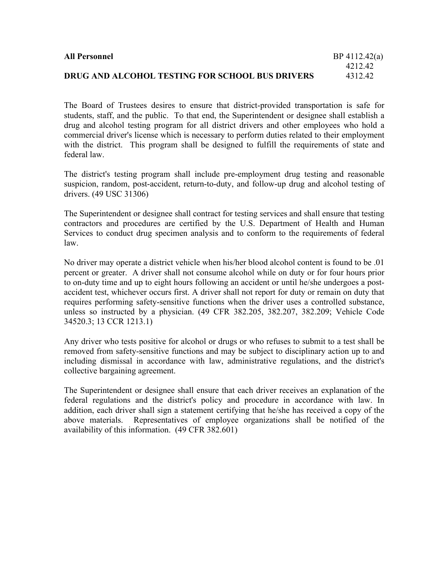| <b>All Personnel</b>                            | BP 4112.42(a) |
|-------------------------------------------------|---------------|
|                                                 | 421242        |
| DRUG AND ALCOHOL TESTING FOR SCHOOL BUS DRIVERS | 431242        |

The Board of Trustees desires to ensure that district-provided transportation is safe for students, staff, and the public. To that end, the Superintendent or designee shall establish a drug and alcohol testing program for all district drivers and other employees who hold a commercial driver's license which is necessary to perform duties related to their employment with the district. This program shall be designed to fulfill the requirements of state and federal law.

The district's testing program shall include pre-employment drug testing and reasonable suspicion, random, post-accident, return-to-duty, and follow-up drug and alcohol testing of drivers. (49 USC 31306)

The Superintendent or designee shall contract for testing services and shall ensure that testing contractors and procedures are certified by the U.S. Department of Health and Human Services to conduct drug specimen analysis and to conform to the requirements of federal law.

No driver may operate a district vehicle when his/her blood alcohol content is found to be .01 percent or greater. A driver shall not consume alcohol while on duty or for four hours prior to on-duty time and up to eight hours following an accident or until he/she undergoes a postaccident test, whichever occurs first. A driver shall not report for duty or remain on duty that requires performing safety-sensitive functions when the driver uses a controlled substance, unless so instructed by a physician. (49 CFR 382.205, 382.207, 382.209; Vehicle Code 34520.3; 13 CCR 1213.1)

Any driver who tests positive for alcohol or drugs or who refuses to submit to a test shall be removed from safety-sensitive functions and may be subject to disciplinary action up to and including dismissal in accordance with law, administrative regulations, and the district's collective bargaining agreement.

The Superintendent or designee shall ensure that each driver receives an explanation of the federal regulations and the district's policy and procedure in accordance with law. In addition, each driver shall sign a statement certifying that he/she has received a copy of the above materials. Representatives of employee organizations shall be notified of the availability of this information. (49 CFR 382.601)